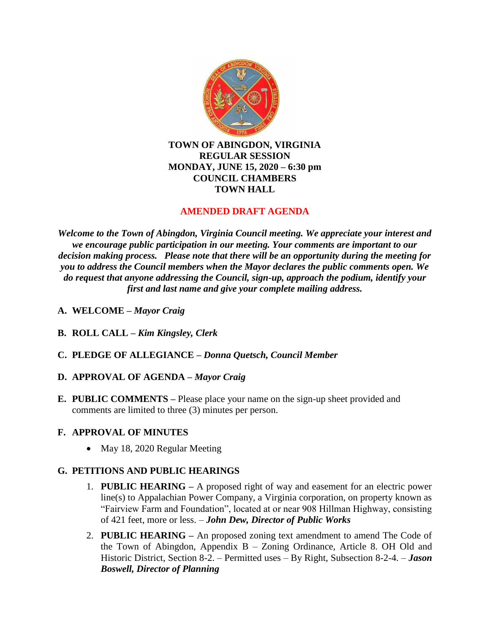

## **TOWN OF ABINGDON, VIRGINIA REGULAR SESSION MONDAY, JUNE 15, 2020 – 6:30 pm COUNCIL CHAMBERS TOWN HALL**

# **AMENDED DRAFT AGENDA**

*Welcome to the Town of Abingdon, Virginia Council meeting. We appreciate your interest and we encourage public participation in our meeting. Your comments are important to our decision making process. Please note that there will be an opportunity during the meeting for you to address the Council members when the Mayor declares the public comments open. We do request that anyone addressing the Council, sign-up, approach the podium, identify your first and last name and give your complete mailing address.*

- **A. WELCOME –** *Mayor Craig*
- **B. ROLL CALL –** *Kim Kingsley, Clerk*
- **C. PLEDGE OF ALLEGIANCE –** *Donna Quetsch, Council Member*

## **D. APPROVAL OF AGENDA –** *Mayor Craig*

**E. PUBLIC COMMENTS –** Please place your name on the sign-up sheet provided and comments are limited to three (3) minutes per person.

# **F. APPROVAL OF MINUTES**

• May 18, 2020 Regular Meeting

# **G. PETITIONS AND PUBLIC HEARINGS**

- 1. **PUBLIC HEARING –** A proposed right of way and easement for an electric power line(s) to Appalachian Power Company, a Virginia corporation, on property known as "Fairview Farm and Foundation", located at or near 908 Hillman Highway, consisting of 421 feet, more or less. – *John Dew, Director of Public Works*
- 2. **PUBLIC HEARING –** An proposed zoning text amendment to amend The Code of the Town of Abingdon, Appendix B – Zoning Ordinance, Article 8. OH Old and Historic District, Section 8-2. – Permitted uses – By Right, Subsection 8-2-4. – *Jason Boswell, Director of Planning*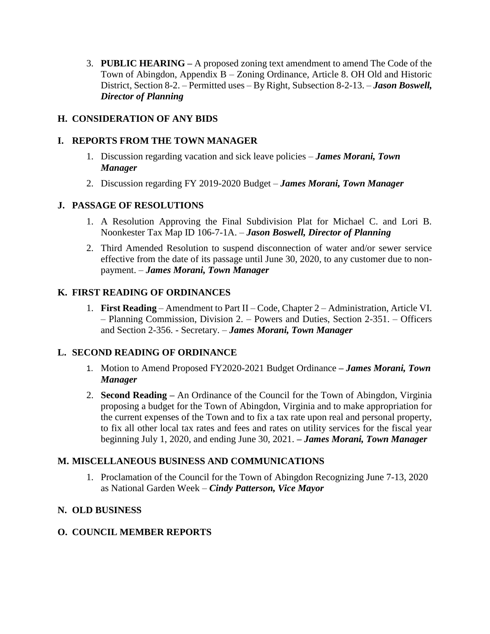3. **PUBLIC HEARING –** A proposed zoning text amendment to amend The Code of the Town of Abingdon, Appendix B – Zoning Ordinance, Article 8. OH Old and Historic District, Section 8-2. – Permitted uses – By Right, Subsection 8-2-13. – *Jason Boswell, Director of Planning*

## **H. CONSIDERATION OF ANY BIDS**

## **I. REPORTS FROM THE TOWN MANAGER**

- 1. Discussion regarding vacation and sick leave policies *James Morani, Town Manager*
- 2. Discussion regarding FY 2019-2020 Budget *James Morani, Town Manager*

### **J. PASSAGE OF RESOLUTIONS**

- 1. A Resolution Approving the Final Subdivision Plat for Michael C. and Lori B. Noonkester Tax Map ID 106-7-1A. – *Jason Boswell, Director of Planning*
- 2. Third Amended Resolution to suspend disconnection of water and/or sewer service effective from the date of its passage until June 30, 2020, to any customer due to nonpayment. – *James Morani, Town Manager*

### **K. FIRST READING OF ORDINANCES**

1. **First Reading** – Amendment to Part II – Code, Chapter 2 – Administration, Article VI. – Planning Commission, Division 2. – Powers and Duties, Section 2-351. – Officers and Section 2-356. - Secretary. – *James Morani, Town Manager*

## **L. SECOND READING OF ORDINANCE**

- 1. Motion to Amend Proposed FY2020-2021 Budget Ordinance **–** *James Morani, Town Manager*
- 2. **Second Reading –** An Ordinance of the Council for the Town of Abingdon, Virginia proposing a budget for the Town of Abingdon, Virginia and to make appropriation for the current expenses of the Town and to fix a tax rate upon real and personal property, to fix all other local tax rates and fees and rates on utility services for the fiscal year beginning July 1, 2020, and ending June 30, 2021. **–** *James Morani, Town Manager*

### **M. MISCELLANEOUS BUSINESS AND COMMUNICATIONS**

1. Proclamation of the Council for the Town of Abingdon Recognizing June 7-13, 2020 as National Garden Week – *Cindy Patterson, Vice Mayor*

### **N. OLD BUSINESS**

### **O. COUNCIL MEMBER REPORTS**